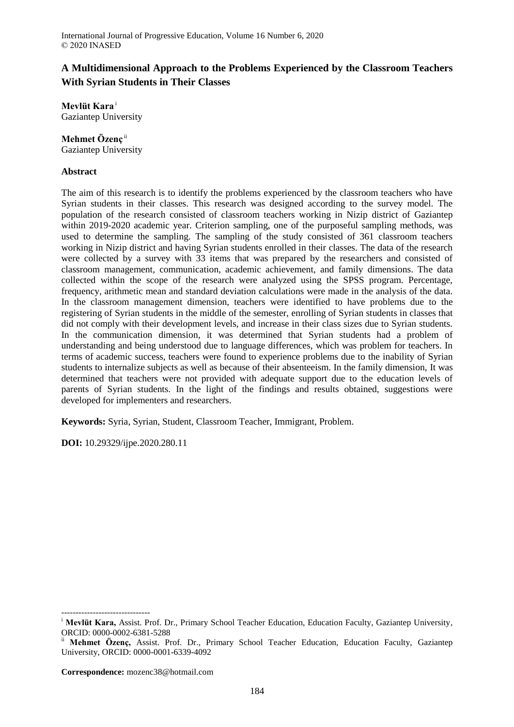# **A Multidimensional Approach to the Problems Experienced by the Classroom Teachers With Syrian Students in Their Classes**

**Mevlüt Kara** <sup>i</sup> Gaziantep University

### **Mehmet Özenç** ii

Gaziantep University

### **Abstract**

The aim of this research is to identify the problems experienced by the classroom teachers who have Syrian students in their classes. This research was designed according to the survey model. The population of the research consisted of classroom teachers working in Nizip district of Gaziantep within 2019-2020 academic year. Criterion sampling, one of the purposeful sampling methods, was used to determine the sampling. The sampling of the study consisted of 361 classroom teachers working in Nizip district and having Syrian students enrolled in their classes. The data of the research were collected by a survey with 33 items that was prepared by the researchers and consisted of classroom management, communication, academic achievement, and family dimensions. The data collected within the scope of the research were analyzed using the SPSS program. Percentage, frequency, arithmetic mean and standard deviation calculations were made in the analysis of the data. In the classroom management dimension, teachers were identified to have problems due to the registering of Syrian students in the middle of the semester, enrolling of Syrian students in classes that did not comply with their development levels, and increase in their class sizes due to Syrian students. In the communication dimension, it was determined that Syrian students had a problem of understanding and being understood due to language differences, which was problem for teachers. In terms of academic success, teachers were found to experience problems due to the inability of Syrian students to internalize subjects as well as because of their absenteeism. In the family dimension, It was determined that teachers were not provided with adequate support due to the education levels of parents of Syrian students. In the light of the findings and results obtained, suggestions were developed for implementers and researchers.

**Keywords:** Syria, Syrian, Student, Classroom Teacher, Immigrant, Problem.

**DOI:** 10.29329/ijpe.2020.280.11

-------------------------------

<sup>&</sup>lt;sup>i</sup> Mevlüt Kara, Assist. Prof. Dr., Primary School Teacher Education, Education Faculty, Gaziantep University, ORCID: 0000-0002-6381-5288

Mehmet Özenc, Assist. Prof. Dr., Primary School Teacher Education, Education Faculty, Gaziantep University, ORCID: 0000-0001-6339-4092

**Correspondence:** mozenc38@hotmail.com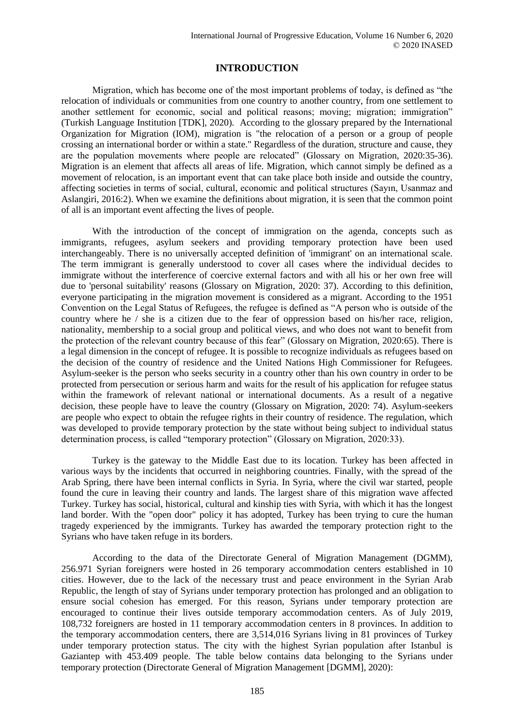## **INTRODUCTION**

Migration, which has become one of the most important problems of today, is defined as "the relocation of individuals or communities from one country to another country, from one settlement to another settlement for economic, social and political reasons; moving; migration; immigration" (Turkish Language Institution [TDK], 2020). According to the glossary prepared by the International Organization for Migration (IOM), migration is "the relocation of a person or a group of people crossing an international border or within a state." Regardless of the duration, structure and cause, they are the population movements where people are relocated" (Glossary on Migration, 2020:35-36). Migration is an element that affects all areas of life. Migration, which cannot simply be defined as a movement of relocation, is an important event that can take place both inside and outside the country, affecting societies in terms of social, cultural, economic and political structures (Sayın, Usanmaz and Aslangiri, 2016:2). When we examine the definitions about migration, it is seen that the common point of all is an important event affecting the lives of people.

With the introduction of the concept of immigration on the agenda, concepts such as immigrants, refugees, asylum seekers and providing temporary protection have been used interchangeably. There is no universally accepted definition of 'immigrant' on an international scale. The term immigrant is generally understood to cover all cases where the individual decides to immigrate without the interference of coercive external factors and with all his or her own free will due to 'personal suitability' reasons (Glossary on Migration, 2020: 37). According to this definition, everyone participating in the migration movement is considered as a migrant. According to the 1951 Convention on the Legal Status of Refugees, the refugee is defined as "A person who is outside of the country where he / she is a citizen due to the fear of oppression based on his/her race, religion, nationality, membership to a social group and political views, and who does not want to benefit from the protection of the relevant country because of this fear" (Glossary on Migration, 2020:65). There is a legal dimension in the concept of refugee. It is possible to recognize individuals as refugees based on the decision of the country of residence and the United Nations High Commissioner for Refugees. Asylum-seeker is the person who seeks security in a country other than his own country in order to be protected from persecution or serious harm and waits for the result of his application for refugee status within the framework of relevant national or international documents. As a result of a negative decision, these people have to leave the country (Glossary on Migration, 2020: 74). Asylum-seekers are people who expect to obtain the refugee rights in their country of residence. The regulation, which was developed to provide temporary protection by the state without being subject to individual status determination process, is called "temporary protection" (Glossary on Migration, 2020:33).

Turkey is the gateway to the Middle East due to its location. Turkey has been affected in various ways by the incidents that occurred in neighboring countries. Finally, with the spread of the Arab Spring, there have been internal conflicts in Syria. In Syria, where the civil war started, people found the cure in leaving their country and lands. The largest share of this migration wave affected Turkey. Turkey has social, historical, cultural and kinship ties with Syria, with which it has the longest land border. With the "open door" policy it has adopted, Turkey has been trying to cure the human tragedy experienced by the immigrants. Turkey has awarded the temporary protection right to the Syrians who have taken refuge in its borders.

According to the data of the Directorate General of Migration Management (DGMM), 256.971 Syrian foreigners were hosted in 26 temporary accommodation centers established in 10 cities. However, due to the lack of the necessary trust and peace environment in the Syrian Arab Republic, the length of stay of Syrians under temporary protection has prolonged and an obligation to ensure social cohesion has emerged. For this reason, Syrians under temporary protection are encouraged to continue their lives outside temporary accommodation centers. As of July 2019, 108,732 foreigners are hosted in 11 temporary accommodation centers in 8 provinces. In addition to the temporary accommodation centers, there are 3,514,016 Syrians living in 81 provinces of Turkey under temporary protection status. The city with the highest Syrian population after Istanbul is Gaziantep with 453.409 people. The table below contains data belonging to the Syrians under temporary protection (Directorate General of Migration Management [DGMM], 2020):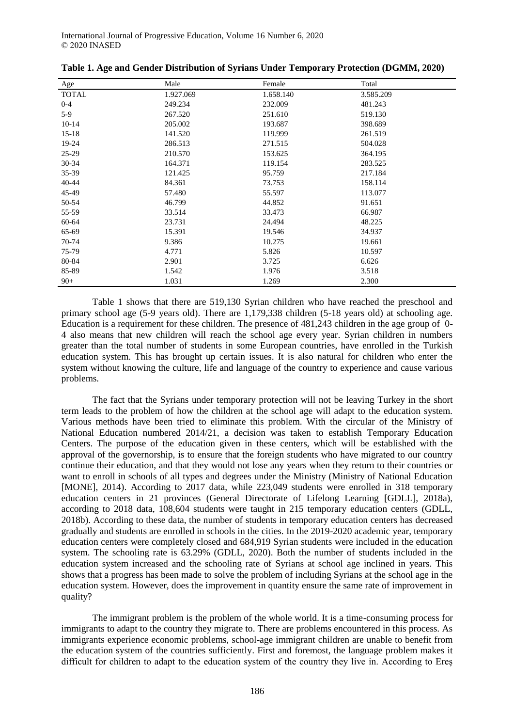| Age          | Male      | Female    | Total     |
|--------------|-----------|-----------|-----------|
| <b>TOTAL</b> | 1.927.069 | 1.658.140 | 3.585.209 |
| $0 - 4$      | 249.234   | 232.009   | 481.243   |
| $5-9$        | 267.520   | 251.610   | 519.130   |
| $10 - 14$    | 205.002   | 193.687   | 398.689   |
| $15 - 18$    | 141.520   | 119.999   | 261.519   |
| 19-24        | 286.513   | 271.515   | 504.028   |
| 25-29        | 210.570   | 153.625   | 364.195   |
| 30-34        | 164.371   | 119.154   | 283.525   |
| 35-39        | 121.425   | 95.759    | 217.184   |
| 40-44        | 84.361    | 73.753    | 158.114   |
| 45-49        | 57.480    | 55.597    | 113.077   |
| 50-54        | 46.799    | 44.852    | 91.651    |
| 55-59        | 33.514    | 33.473    | 66.987    |
| 60-64        | 23.731    | 24.494    | 48.225    |
| 65-69        | 15.391    | 19.546    | 34.937    |
| 70-74        | 9.386     | 10.275    | 19.661    |
| 75-79        | 4.771     | 5.826     | 10.597    |
| 80-84        | 2.901     | 3.725     | 6.626     |
| 85-89        | 1.542     | 1.976     | 3.518     |
| $90+$        | 1.031     | 1.269     | 2.300     |

|  | Table 1. Age and Gender Distribution of Syrians Under Temporary Protection (DGMM, 2020) |  |
|--|-----------------------------------------------------------------------------------------|--|
|  |                                                                                         |  |

Table 1 shows that there are 519,130 Syrian children who have reached the preschool and primary school age (5-9 years old). There are 1,179,338 children (5-18 years old) at schooling age. Education is a requirement for these children. The presence of 481,243 children in the age group of 0- 4 also means that new children will reach the school age every year. Syrian children in numbers greater than the total number of students in some European countries, have enrolled in the Turkish education system. This has brought up certain issues. It is also natural for children who enter the system without knowing the culture, life and language of the country to experience and cause various problems.

The fact that the Syrians under temporary protection will not be leaving Turkey in the short term leads to the problem of how the children at the school age will adapt to the education system. Various methods have been tried to eliminate this problem. With the circular of the Ministry of National Education numbered 2014/21, a decision was taken to establish Temporary Education Centers. The purpose of the education given in these centers, which will be established with the approval of the governorship, is to ensure that the foreign students who have migrated to our country continue their education, and that they would not lose any years when they return to their countries or want to enroll in schools of all types and degrees under the Ministry (Ministry of National Education [MONE], 2014). According to 2017 data, while 223,049 students were enrolled in 318 temporary education centers in 21 provinces (General Directorate of Lifelong Learning [GDLL], 2018a), according to 2018 data, 108,604 students were taught in 215 temporary education centers (GDLL, 2018b). According to these data, the number of students in temporary education centers has decreased gradually and students are enrolled in schools in the cities. In the 2019-2020 academic year, temporary education centers were completely closed and 684,919 Syrian students were included in the education system. The schooling rate is 63.29% (GDLL, 2020). Both the number of students included in the education system increased and the schooling rate of Syrians at school age inclined in years. This shows that a progress has been made to solve the problem of including Syrians at the school age in the education system. However, does the improvement in quantity ensure the same rate of improvement in quality?

The immigrant problem is the problem of the whole world. It is a time-consuming process for immigrants to adapt to the country they migrate to. There are problems encountered in this process. As immigrants experience economic problems, school-age immigrant children are unable to benefit from the education system of the countries sufficiently. First and foremost, the language problem makes it difficult for children to adapt to the education system of the country they live in. According to Ereş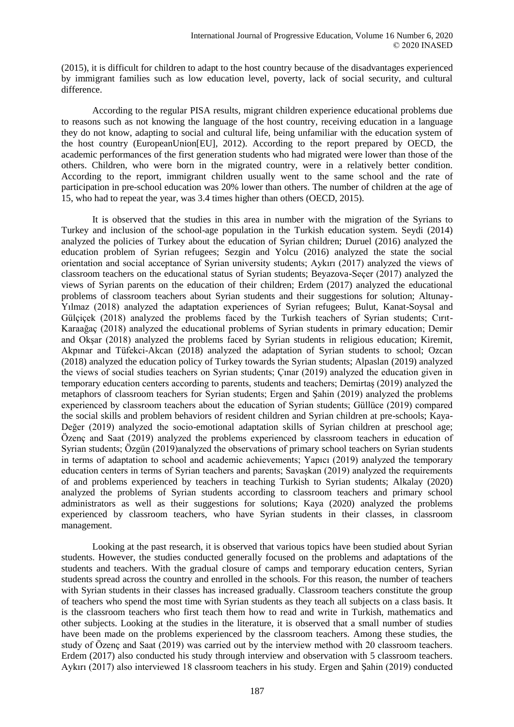(2015), it is difficult for children to adapt to the host country because of the disadvantages experienced by immigrant families such as low education level, poverty, lack of social security, and cultural difference.

According to the regular PISA results, migrant children experience educational problems due to reasons such as not knowing the language of the host country, receiving education in a language they do not know, adapting to social and cultural life, being unfamiliar with the education system of the host country (EuropeanUnion[EU], 2012). According to the report prepared by OECD, the academic performances of the first generation students who had migrated were lower than those of the others. Children, who were born in the migrated country, were in a relatively better condition. According to the report, immigrant children usually went to the same school and the rate of participation in pre-school education was 20% lower than others. The number of children at the age of 15, who had to repeat the year, was 3.4 times higher than others (OECD, 2015).

It is observed that the studies in this area in number with the migration of the Syrians to Turkey and inclusion of the school-age population in the Turkish education system. Seydi (2014) analyzed the policies of Turkey about the education of Syrian children; Duruel (2016) analyzed the education problem of Syrian refugees; Sezgin and Yolcu (2016) analyzed the state the social orientation and social acceptance of Syrian university students; Aykırı (2017) analyzed the views of classroom teachers on the educational status of Syrian students; Beyazova-Seçer (2017) analyzed the views of Syrian parents on the education of their children; Erdem (2017) analyzed the educational problems of classroom teachers about Syrian students and their suggestions for solution; Altunay-Yılmaz (2018) analyzed the adaptation experiences of Syrian refugees; Bulut, Kanat-Soysal and Gülcicek (2018) analyzed the problems faced by the Turkish teachers of Syrian students; Cirit-Karaağaç (2018) analyzed the educational problems of Syrian students in primary education; Demir and Okşar (2018) analyzed the problems faced by Syrian students in religious education; Kiremit, Akpınar and Tüfekci-Akcan (2018) analyzed the adaptation of Syrian students to school; Ozcan (2018) analyzed the education policy of Turkey towards the Syrian students; Alpaslan (2019) analyzed the views of social studies teachers on Syrian students; Çınar (2019) analyzed the education given in temporary education centers according to parents, students and teachers; Demirtaş (2019) analyzed the metaphors of classroom teachers for Syrian students; Ergen and Şahin (2019) analyzed the problems experienced by classroom teachers about the education of Syrian students; Güllüce (2019) compared the social skills and problem behaviors of resident children and Syrian children at pre-schools; Kaya-Değer (2019) analyzed the socio-emotional adaptation skills of Syrian children at preschool age; Özenç and Saat (2019) analyzed the problems experienced by classroom teachers in education of Syrian students; Özgün (2019)analyzed the observations of primary school teachers on Syrian students in terms of adaptation to school and academic achievements; Yapıcı (2019) analyzed the temporary education centers in terms of Syrian teachers and parents; Savaşkan (2019) analyzed the requirements of and problems experienced by teachers in teaching Turkish to Syrian students; Alkalay (2020) analyzed the problems of Syrian students according to classroom teachers and primary school administrators as well as their suggestions for solutions; Kaya (2020) analyzed the problems experienced by classroom teachers, who have Syrian students in their classes, in classroom management.

Looking at the past research, it is observed that various topics have been studied about Syrian students. However, the studies conducted generally focused on the problems and adaptations of the students and teachers. With the gradual closure of camps and temporary education centers, Syrian students spread across the country and enrolled in the schools. For this reason, the number of teachers with Syrian students in their classes has increased gradually. Classroom teachers constitute the group of teachers who spend the most time with Syrian students as they teach all subjects on a class basis. It is the classroom teachers who first teach them how to read and write in Turkish, mathematics and other subjects. Looking at the studies in the literature, it is observed that a small number of studies have been made on the problems experienced by the classroom teachers. Among these studies, the study of Özenç and Saat (2019) was carried out by the interview method with 20 classroom teachers. Erdem (2017) also conducted his study through interview and observation with 5 classroom teachers. Aykırı (2017) also interviewed 18 classroom teachers in his study. Ergen and Şahin (2019) conducted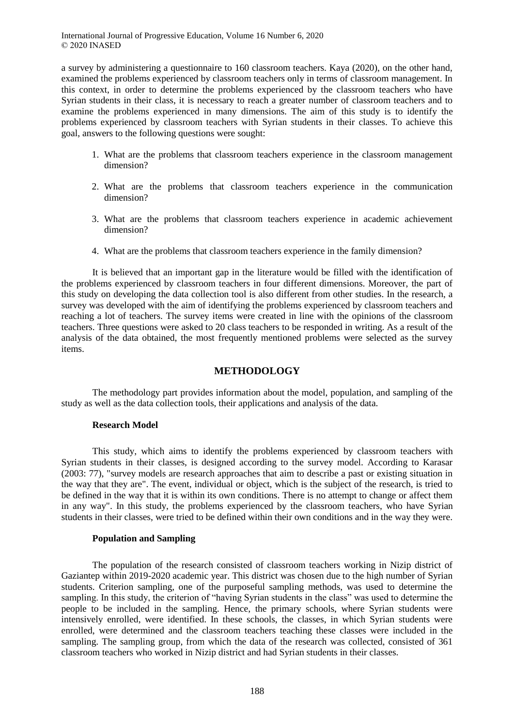a survey by administering a questionnaire to 160 classroom teachers. Kaya (2020), on the other hand, examined the problems experienced by classroom teachers only in terms of classroom management. In this context, in order to determine the problems experienced by the classroom teachers who have Syrian students in their class, it is necessary to reach a greater number of classroom teachers and to examine the problems experienced in many dimensions. The aim of this study is to identify the problems experienced by classroom teachers with Syrian students in their classes. To achieve this goal, answers to the following questions were sought:

- 1. What are the problems that classroom teachers experience in the classroom management dimension?
- 2. What are the problems that classroom teachers experience in the communication dimension?
- 3. What are the problems that classroom teachers experience in academic achievement dimension?
- 4. What are the problems that classroom teachers experience in the family dimension?

It is believed that an important gap in the literature would be filled with the identification of the problems experienced by classroom teachers in four different dimensions. Moreover, the part of this study on developing the data collection tool is also different from other studies. In the research, a survey was developed with the aim of identifying the problems experienced by classroom teachers and reaching a lot of teachers. The survey items were created in line with the opinions of the classroom teachers. Three questions were asked to 20 class teachers to be responded in writing. As a result of the analysis of the data obtained, the most frequently mentioned problems were selected as the survey items.

#### **METHODOLOGY**

The methodology part provides information about the model, population, and sampling of the study as well as the data collection tools, their applications and analysis of the data.

#### **Research Model**

This study, which aims to identify the problems experienced by classroom teachers with Syrian students in their classes, is designed according to the survey model. According to Karasar (2003: 77), "survey models are research approaches that aim to describe a past or existing situation in the way that they are". The event, individual or object, which is the subject of the research, is tried to be defined in the way that it is within its own conditions. There is no attempt to change or affect them in any way". In this study, the problems experienced by the classroom teachers, who have Syrian students in their classes, were tried to be defined within their own conditions and in the way they were.

#### **Population and Sampling**

The population of the research consisted of classroom teachers working in Nizip district of Gaziantep within 2019-2020 academic year. This district was chosen due to the high number of Syrian students. Criterion sampling, one of the purposeful sampling methods, was used to determine the sampling. In this study, the criterion of "having Syrian students in the class" was used to determine the people to be included in the sampling. Hence, the primary schools, where Syrian students were intensively enrolled, were identified. In these schools, the classes, in which Syrian students were enrolled, were determined and the classroom teachers teaching these classes were included in the sampling. The sampling group, from which the data of the research was collected, consisted of 361 classroom teachers who worked in Nizip district and had Syrian students in their classes.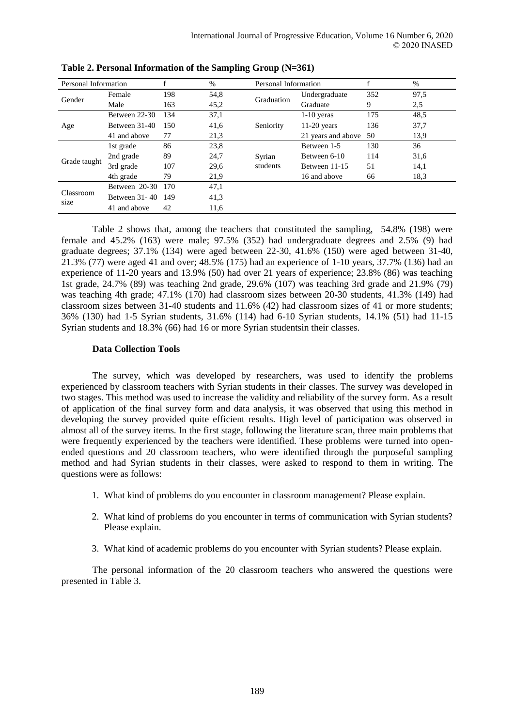| Personal Information |                   |     | %    |                    | Personal Information |     | %    |
|----------------------|-------------------|-----|------|--------------------|----------------------|-----|------|
| Gender               | Female            | 198 | 54,8 | Graduation         | Undergraduate        | 352 | 97,5 |
|                      | Male              | 163 | 45,2 |                    | Graduate             | 9   | 2,5  |
| Age                  | Between 22-30     | 134 | 37,1 |                    | $1-10$ yeras         | 175 | 48,5 |
|                      | Between 31-40     | 150 | 41,6 | Seniority          | $11-20$ years        | 136 | 37,7 |
|                      | 41 and above      | 77  | 21,3 |                    | 21 years and above   | 50  | 13.9 |
|                      | 1st grade         | 86  | 23,8 | Syrian<br>students | Between 1-5          | 130 | 36   |
| Grade taught         | 2nd grade         | 89  | 24,7 |                    | Between 6-10         | 114 | 31,6 |
|                      | 3rd grade         | 107 | 29,6 |                    | Between 11-15        | 51  | 14,1 |
|                      | 4th grade         | 79  | 21,9 |                    | 16 and above         | 66  | 18.3 |
| Classroom<br>size    | Between 20-30     | 170 | 47,1 |                    |                      |     |      |
|                      | Between $31 - 40$ | 149 | 41,3 |                    |                      |     |      |
|                      | 41 and above      | 42  | 11,6 |                    |                      |     |      |

**Table 2. Personal Information of the Sampling Group (N=361)**

Table 2 shows that, among the teachers that constituted the sampling, 54.8% (198) were female and 45.2% (163) were male; 97.5% (352) had undergraduate degrees and 2.5% (9) had graduate degrees; 37.1% (134) were aged between 22-30, 41.6% (150) were aged between 31-40, 21.3% (77) were aged 41 and over; 48.5% (175) had an experience of 1-10 years, 37.7% (136) had an experience of 11-20 years and 13.9% (50) had over 21 years of experience; 23.8% (86) was teaching 1st grade, 24.7% (89) was teaching 2nd grade, 29.6% (107) was teaching 3rd grade and 21.9% (79) was teaching 4th grade; 47.1% (170) had classroom sizes between 20-30 students, 41.3% (149) had classroom sizes between 31-40 students and 11.6% (42) had classroom sizes of 41 or more students; 36% (130) had 1-5 Syrian students, 31.6% (114) had 6-10 Syrian students, 14.1% (51) had 11-15 Syrian students and 18.3% (66) had 16 or more Syrian studentsin their classes.

#### **Data Collection Tools**

The survey, which was developed by researchers, was used to identify the problems experienced by classroom teachers with Syrian students in their classes. The survey was developed in two stages. This method was used to increase the validity and reliability of the survey form. As a result of application of the final survey form and data analysis, it was observed that using this method in developing the survey provided quite efficient results. High level of participation was observed in almost all of the survey items. In the first stage, following the literature scan, three main problems that were frequently experienced by the teachers were identified. These problems were turned into openended questions and 20 classroom teachers, who were identified through the purposeful sampling method and had Syrian students in their classes, were asked to respond to them in writing. The questions were as follows:

- 1. What kind of problems do you encounter in classroom management? Please explain.
- 2. What kind of problems do you encounter in terms of communication with Syrian students? Please explain.
- 3. What kind of academic problems do you encounter with Syrian students? Please explain.

The personal information of the 20 classroom teachers who answered the questions were presented in Table 3.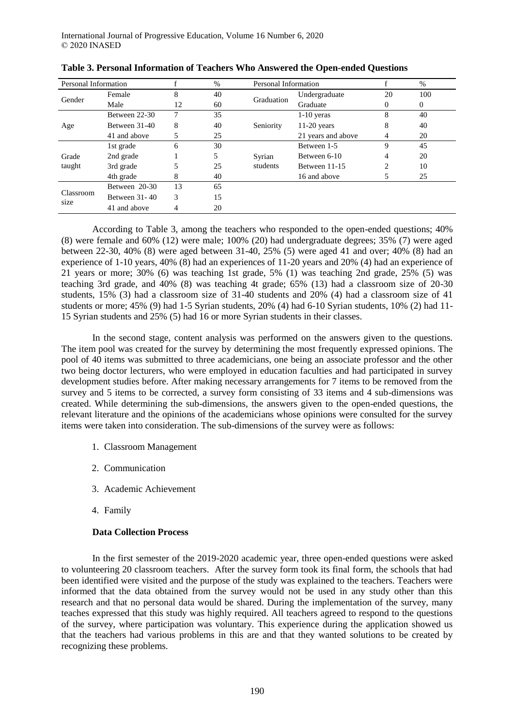| Personal Information |               |    | %  | Personal Information | %                  |    |              |
|----------------------|---------------|----|----|----------------------|--------------------|----|--------------|
| Gender               | Female        | 8  | 40 | Graduation           | Undergraduate      | 20 | 100          |
|                      | Male          | 12 | 60 |                      | Graduate           | 0  | $\mathbf{0}$ |
|                      | Between 22-30 | 7  | 35 |                      | $1-10$ yeras       | 8  | 40           |
| Age                  | Between 31-40 | 8  | 40 | Seniority            | $11-20$ years      | 8  | 40           |
|                      | 41 and above  |    | 25 |                      | 21 years and above | 4  | 20           |
|                      | 1st grade     | 6  | 30 | Syrian<br>students   | Between 1-5        | 9  | 45           |
| Grade                | 2nd grade     |    | 5  |                      | Between 6-10       | 4  | 20           |
| taught               | 3rd grade     | 5  | 25 |                      | Between 11-15      | 2  | 10           |
|                      | 4th grade     | 8  | 40 |                      | 16 and above       |    | 25           |
|                      | Between 20-30 | 13 | 65 |                      |                    |    |              |
| Classroom<br>size    | Between 31-40 | 3  | 15 |                      |                    |    |              |
|                      | 41 and above  |    | 20 |                      |                    |    |              |

| Table 3. Personal Information of Teachers Who Answered the Open-ended Questions |  |  |
|---------------------------------------------------------------------------------|--|--|
|---------------------------------------------------------------------------------|--|--|

According to Table 3, among the teachers who responded to the open-ended questions; 40% (8) were female and 60% (12) were male; 100% (20) had undergraduate degrees; 35% (7) were aged between 22-30, 40% (8) were aged between 31-40, 25% (5) were aged 41 and over; 40% (8) had an experience of 1-10 years, 40% (8) had an experiences of 11-20 years and 20% (4) had an experience of 21 years or more; 30% (6) was teaching 1st grade, 5% (1) was teaching 2nd grade, 25% (5) was teaching 3rd grade, and 40% (8) was teaching 4t grade; 65% (13) had a classroom size of 20-30 students, 15% (3) had a classroom size of 31-40 students and 20% (4) had a classroom size of 41 students or more; 45% (9) had 1-5 Syrian students, 20% (4) had 6-10 Syrian students, 10% (2) had 11- 15 Syrian students and 25% (5) had 16 or more Syrian students in their classes.

In the second stage, content analysis was performed on the answers given to the questions. The item pool was created for the survey by determining the most frequently expressed opinions. The pool of 40 items was submitted to three academicians, one being an associate professor and the other two being doctor lecturers, who were employed in education faculties and had participated in survey development studies before. After making necessary arrangements for 7 items to be removed from the survey and 5 items to be corrected, a survey form consisting of 33 items and 4 sub-dimensions was created. While determining the sub-dimensions, the answers given to the open-ended questions, the relevant literature and the opinions of the academicians whose opinions were consulted for the survey items were taken into consideration. The sub-dimensions of the survey were as follows:

- 1. Classroom Management
- 2. Communication
- 3. Academic Achievement
- 4. Family

#### **Data Collection Process**

In the first semester of the 2019-2020 academic year, three open-ended questions were asked to volunteering 20 classroom teachers. After the survey form took its final form, the schools that had been identified were visited and the purpose of the study was explained to the teachers. Teachers were informed that the data obtained from the survey would not be used in any study other than this research and that no personal data would be shared. During the implementation of the survey, many teaches expressed that this study was highly required. All teachers agreed to respond to the questions of the survey, where participation was voluntary. This experience during the application showed us that the teachers had various problems in this are and that they wanted solutions to be created by recognizing these problems.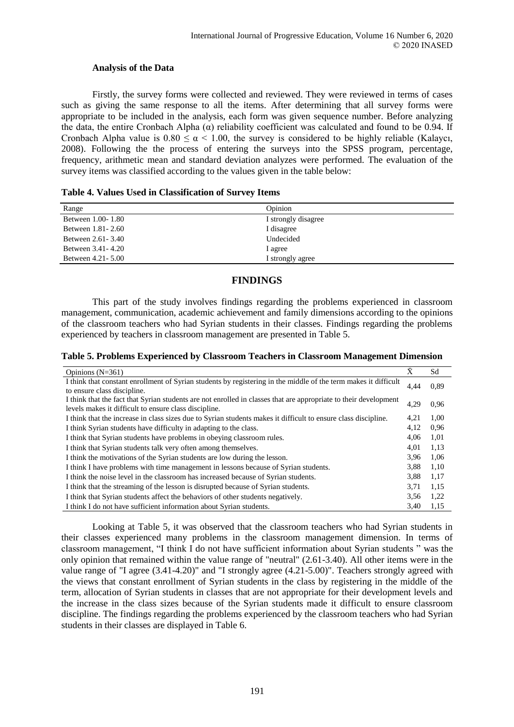### **Analysis of the Data**

Firstly, the survey forms were collected and reviewed. They were reviewed in terms of cases such as giving the same response to all the items. After determining that all survey forms were appropriate to be included in the analysis, each form was given sequence number. Before analyzing the data, the entire Cronbach Alpha  $(\alpha)$  reliability coefficient was calculated and found to be 0.94. If Cronbach Alpha value is  $0.80 \le \alpha \le 1.00$ , the survey is considered to be highly reliable (Kalaycı, 2008). Following the the process of entering the surveys into the SPSS program, percentage, frequency, arithmetic mean and standard deviation analyzes were performed. The evaluation of the survey items was classified according to the values given in the table below:

|  |  |  | Table 4. Values Used in Classification of Survey Items |  |  |  |
|--|--|--|--------------------------------------------------------|--|--|--|
|--|--|--|--------------------------------------------------------|--|--|--|

| Range               | Opinion             |
|---------------------|---------------------|
| Between 1.00-1.80   | I strongly disagree |
| Between 1.81 - 2.60 | I disagree          |
| Between 2.61 - 3.40 | Undecided           |
| Between 3.41 - 4.20 | I agree             |
| Between 4.21 - 5.00 | I strongly agree    |

## **FINDINGS**

This part of the study involves findings regarding the problems experienced in classroom management, communication, academic achievement and family dimensions according to the opinions of the classroom teachers who had Syrian students in their classes. Findings regarding the problems experienced by teachers in classroom management are presented in Table 5.

**Table 5. Problems Experienced by Classroom Teachers in Classroom Management Dimension**

| Opinions $(N=361)$                                                                                                                                                        | $\bar{X}$ | Sd   |
|---------------------------------------------------------------------------------------------------------------------------------------------------------------------------|-----------|------|
| I think that constant enrollment of Syrian students by registering in the middle of the term makes it difficult<br>to ensure class discipline.                            | 4,44      | 0.89 |
| I think that the fact that Syrian students are not enrolled in classes that are appropriate to their development<br>levels makes it difficult to ensure class discipline. | 4,29      | 0.96 |
| I think that the increase in class sizes due to Syrian students makes it difficult to ensure class discipline.                                                            | 4,21      | 1,00 |
| I think Syrian students have difficulty in adapting to the class.                                                                                                         | 4,12      | 0.96 |
| I think that Syrian students have problems in obeying classroom rules.                                                                                                    | 4,06      | 1,01 |
| I think that Syrian students talk very often among themselves.                                                                                                            | 4,01      | 1,13 |
| I think the motivations of the Syrian students are low during the lesson.                                                                                                 | 3.96      | 1,06 |
| I think I have problems with time management in lessons because of Syrian students.                                                                                       | 3,88      | 1,10 |
| I think the noise level in the classroom has increased because of Syrian students.                                                                                        | 3,88      | 1,17 |
| I think that the streaming of the lesson is disrupted because of Syrian students.                                                                                         | 3,71      | 1,15 |
| I think that Syrian students affect the behaviors of other students negatively.                                                                                           | 3,56      | 1,22 |
| I think I do not have sufficient information about Syrian students.                                                                                                       | 3,40      | 1,15 |

Looking at Table 5, it was observed that the classroom teachers who had Syrian students in their classes experienced many problems in the classroom management dimension. In terms of classroom management, "I think I do not have sufficient information about Syrian students " was the only opinion that remained within the value range of "neutral" (2.61-3.40). All other items were in the value range of "I agree (3.41-4.20)" and "I strongly agree (4.21-5.00)". Teachers strongly agreed with the views that constant enrollment of Syrian students in the class by registering in the middle of the term, allocation of Syrian students in classes that are not appropriate for their development levels and the increase in the class sizes because of the Syrian students made it difficult to ensure classroom discipline. The findings regarding the problems experienced by the classroom teachers who had Syrian students in their classes are displayed in Table 6.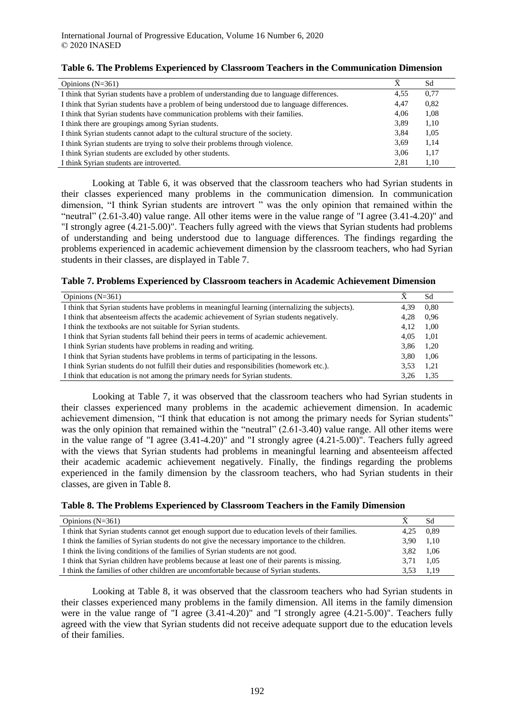| Opinions $(N=361)$                                                                           | Ā    | Sd   |
|----------------------------------------------------------------------------------------------|------|------|
| I think that Syrian students have a problem of understanding due to language differences.    | 4.55 | 0.77 |
| I think that Syrian students have a problem of being understood due to language differences. | 4,47 | 0,82 |
| I think that Syrian students have communication problems with their families.                | 4.06 | 1,08 |
| I think there are groupings among Syrian students.                                           | 3,89 | 1,10 |
| I think Syrian students cannot adapt to the cultural structure of the society.               | 3.84 | 1,05 |
| I think Syrian students are trying to solve their problems through violence.                 | 3.69 | 1,14 |
| I think Syrian students are excluded by other students.                                      | 3.06 | 1,17 |
| I think Syrian students are introverted.                                                     | 2.81 | 1.10 |

#### **Table 6. The Problems Experienced by Classroom Teachers in the Communication Dimension**

Looking at Table 6, it was observed that the classroom teachers who had Syrian students in their classes experienced many problems in the communication dimension. In communication dimension, "I think Syrian students are introvert " was the only opinion that remained within the "neutral" (2.61-3.40) value range. All other items were in the value range of "I agree (3.41-4.20)" and "I strongly agree (4.21-5.00)". Teachers fully agreed with the views that Syrian students had problems of understanding and being understood due to language differences. The findings regarding the problems experienced in academic achievement dimension by the classroom teachers, who had Syrian students in their classes, are displayed in Table 7.

#### **Table 7. Problems Experienced by Classroom teachers in Academic Achievement Dimension**

| Opinions $(N=361)$                                                                              | Ā    | Sd   |
|-------------------------------------------------------------------------------------------------|------|------|
| I think that Syrian students have problems in meaningful learning (internalizing the subjects). | 4.39 | 0.80 |
| I think that absenteely affects the academic achievement of Syrian students negatively.         | 4,28 | 0,96 |
| I think the textbooks are not suitable for Syrian students.                                     | 4.12 | 1,00 |
| I think that Syrian students fall behind their peers in terms of academic achievement.          | 4.05 | 1,01 |
| I think Syrian students have problems in reading and writing.                                   | 3,86 | 1,20 |
| I think that Syrian students have problems in terms of participating in the lessons.            | 3.80 | 1,06 |
| I think Syrian students do not fulfill their duties and responsibilities (homework etc.).       | 3.53 | 1,21 |
| I think that education is not among the primary needs for Syrian students.                      | 3.26 | 1,35 |

Looking at Table 7, it was observed that the classroom teachers who had Syrian students in their classes experienced many problems in the academic achievement dimension. In academic achievement dimension, "I think that education is not among the primary needs for Syrian students" was the only opinion that remained within the "neutral" (2.61-3.40) value range. All other items were in the value range of "I agree (3.41-4.20)" and "I strongly agree (4.21-5.00)". Teachers fully agreed with the views that Syrian students had problems in meaningful learning and absenteeism affected their academic academic achievement negatively. Finally, the findings regarding the problems experienced in the family dimension by the classroom teachers, who had Syrian students in their classes, are given in Table 8.

|  |  | Table 8. The Problems Experienced by Classroom Teachers in the Family Dimension |  |  |  |  |  |
|--|--|---------------------------------------------------------------------------------|--|--|--|--|--|
|--|--|---------------------------------------------------------------------------------|--|--|--|--|--|

| Opinions $(N=361)$                                                                                |      | Sd   |
|---------------------------------------------------------------------------------------------------|------|------|
| I think that Syrian students cannot get enough support due to education levels of their families. | 4.25 | 0.89 |
| I think the families of Syrian students do not give the necessary importance to the children.     | 3.90 | 1.10 |
| I think the living conditions of the families of Syrian students are not good.                    | 3.82 | 1.06 |
| I think that Syrian children have problems because at least one of their parents is missing.      | 3.71 | 1.05 |
| I think the families of other children are uncomfortable because of Syrian students.              | 3.53 | 1.19 |

Looking at Table 8, it was observed that the classroom teachers who had Syrian students in their classes experienced many problems in the family dimension. All items in the family dimension were in the value range of "I agree  $(3.41-4.20)$ " and "I strongly agree  $(4.21-5.00)$ ". Teachers fully agreed with the view that Syrian students did not receive adequate support due to the education levels of their families.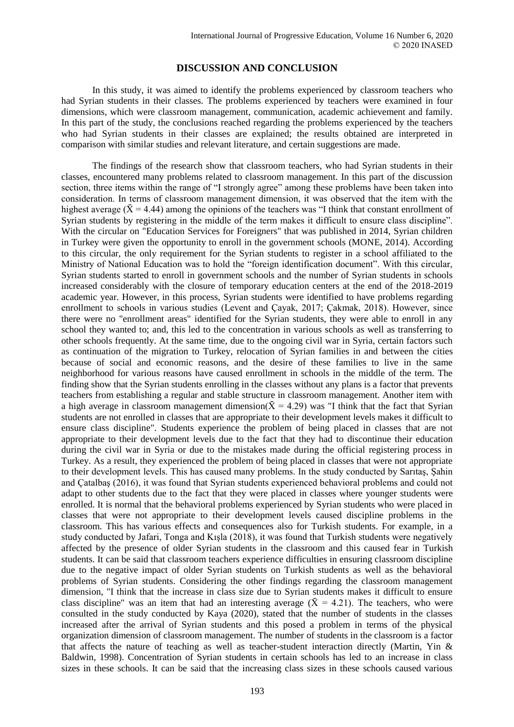### **DISCUSSION AND CONCLUSION**

In this study, it was aimed to identify the problems experienced by classroom teachers who had Syrian students in their classes. The problems experienced by teachers were examined in four dimensions, which were classroom management, communication, academic achievement and family. In this part of the study, the conclusions reached regarding the problems experienced by the teachers who had Syrian students in their classes are explained; the results obtained are interpreted in comparison with similar studies and relevant literature, and certain suggestions are made.

The findings of the research show that classroom teachers, who had Syrian students in their classes, encountered many problems related to classroom management. In this part of the discussion section, three items within the range of "I strongly agree" among these problems have been taken into consideration. In terms of classroom management dimension, it was observed that the item with the highest average ( $\bar{X} = 4.44$ ) among the opinions of the teachers was "I think that constant enrollment of Syrian students by registering in the middle of the term makes it difficult to ensure class discipline". With the circular on "Education Services for Foreigners" that was published in 2014, Syrian children in Turkey were given the opportunity to enroll in the government schools (MONE, 2014). According to this circular, the only requirement for the Syrian students to register in a school affiliated to the Ministry of National Education was to hold the "foreign identification document". With this circular, Syrian students started to enroll in government schools and the number of Syrian students in schools increased considerably with the closure of temporary education centers at the end of the 2018-2019 academic year. However, in this process, Syrian students were identified to have problems regarding enrollment to schools in various studies (Levent and Çayak, 2017; Çakmak, 2018). However, since there were no "enrollment areas" identified for the Syrian students, they were able to enroll in any school they wanted to; and, this led to the concentration in various schools as well as transferring to other schools frequently. At the same time, due to the ongoing civil war in Syria, certain factors such as continuation of the migration to Turkey, relocation of Syrian families in and between the cities because of social and economic reasons, and the desire of these families to live in the same neighborhood for various reasons have caused enrollment in schools in the middle of the term. The finding show that the Syrian students enrolling in the classes without any plans is a factor that prevents teachers from establishing a regular and stable structure in classroom management. Another item with a high average in classroom management dimension( $\bar{X} = 4.29$ ) was "I think that the fact that Syrian students are not enrolled in classes that are appropriate to their development levels makes it difficult to ensure class discipline". Students experience the problem of being placed in classes that are not appropriate to their development levels due to the fact that they had to discontinue their education during the civil war in Syria or due to the mistakes made during the official registering process in Turkey. As a result, they experienced the problem of being placed in classes that were not appropriate to their development levels. This has caused many problems. In the study conducted by Sarıtaş, Şahin and Çatalbaş (2016), it was found that Syrian students experienced behavioral problems and could not adapt to other students due to the fact that they were placed in classes where younger students were enrolled. It is normal that the behavioral problems experienced by Syrian students who were placed in classes that were not appropriate to their development levels caused discipline problems in the classroom. This has various effects and consequences also for Turkish students. For example, in a study conducted by Jafari, Tonga and Kışla (2018), it was found that Turkish students were negatively affected by the presence of older Syrian students in the classroom and this caused fear in Turkish students. It can be said that classroom teachers experience difficulties in ensuring classroom discipline due to the negative impact of older Syrian students on Turkish students as well as the behavioral problems of Syrian students. Considering the other findings regarding the classroom management dimension, "I think that the increase in class size due to Syrian students makes it difficult to ensure class discipline" was an item that had an interesting average ( $\bar{X} = 4.21$ ). The teachers, who were consulted in the study conducted by Kaya (2020), stated that the number of students in the classes increased after the arrival of Syrian students and this posed a problem in terms of the physical organization dimension of classroom management. The number of students in the classroom is a factor that affects the nature of teaching as well as teacher-student interaction directly (Martin, Yin & Baldwin, 1998). Concentration of Syrian students in certain schools has led to an increase in class sizes in these schools. It can be said that the increasing class sizes in these schools caused various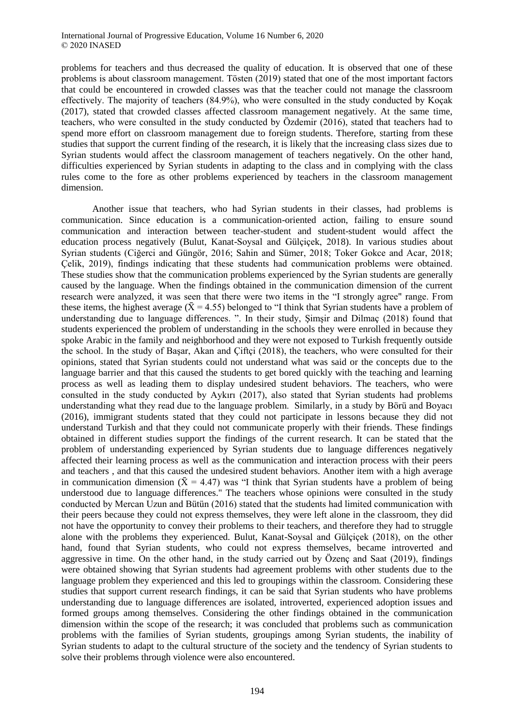problems for teachers and thus decreased the quality of education. It is observed that one of these problems is about classroom management. Tösten (2019) stated that one of the most important factors that could be encountered in crowded classes was that the teacher could not manage the classroom effectively. The majority of teachers (84.9%), who were consulted in the study conducted by Koçak (2017), stated that crowded classes affected classroom management negatively. At the same time, teachers, who were consulted in the study conducted by Özdemir (2016), stated that teachers had to spend more effort on classroom management due to foreign students. Therefore, starting from these studies that support the current finding of the research, it is likely that the increasing class sizes due to Syrian students would affect the classroom management of teachers negatively. On the other hand, difficulties experienced by Syrian students in adapting to the class and in complying with the class rules come to the fore as other problems experienced by teachers in the classroom management dimension.

Another issue that teachers, who had Syrian students in their classes, had problems is communication. Since education is a communication-oriented action, failing to ensure sound communication and interaction between teacher-student and student-student would affect the education process negatively (Bulut, Kanat-Soysal and Gülçiçek, 2018). In various studies about Syrian students (Ciğerci and Güngör, 2016; Sahin and Sümer, 2018; Toker Gokce and Acar, 2018; Çelik, 2019), findings indicating that these students had communication problems were obtained. These studies show that the communication problems experienced by the Syrian students are generally caused by the language. When the findings obtained in the communication dimension of the current research were analyzed, it was seen that there were two items in the "I strongly agree" range. From these items, the highest average ( $\bar{X}$  = 4.55) belonged to "I think that Syrian students have a problem of understanding due to language differences. ". In their study, Şimşir and Dilmaç (2018) found that students experienced the problem of understanding in the schools they were enrolled in because they spoke Arabic in the family and neighborhood and they were not exposed to Turkish frequently outside the school. In the study of Başar, Akan and Çiftçi (2018), the teachers, who were consulted for their opinions, stated that Syrian students could not understand what was said or the concepts due to the language barrier and that this caused the students to get bored quickly with the teaching and learning process as well as leading them to display undesired student behaviors. The teachers, who were consulted in the study conducted by Aykırı (2017), also stated that Syrian students had problems understanding what they read due to the language problem. Similarly, in a study by Börü and Boyacı (2016), immigrant students stated that they could not participate in lessons because they did not understand Turkish and that they could not communicate properly with their friends. These findings obtained in different studies support the findings of the current research. It can be stated that the problem of understanding experienced by Syrian students due to language differences negatively affected their learning process as well as the communication and interaction process with their peers and teachers , and that this caused the undesired student behaviors. Another item with a high average in communication dimension ( $\bar{X} = 4.47$ ) was "I think that Syrian students have a problem of being understood due to language differences." The teachers whose opinions were consulted in the study conducted by Mercan Uzun and Bütün (2016) stated that the students had limited communication with their peers because they could not express themselves, they were left alone in the classroom, they did not have the opportunity to convey their problems to their teachers, and therefore they had to struggle alone with the problems they experienced. Bulut, Kanat-Soysal and Gülçiçek (2018), on the other hand, found that Syrian students, who could not express themselves, became introverted and aggressive in time. On the other hand, in the study carried out by Özenç and Saat (2019), findings were obtained showing that Syrian students had agreement problems with other students due to the language problem they experienced and this led to groupings within the classroom. Considering these studies that support current research findings, it can be said that Syrian students who have problems understanding due to language differences are isolated, introverted, experienced adoption issues and formed groups among themselves. Considering the other findings obtained in the communication dimension within the scope of the research; it was concluded that problems such as communication problems with the families of Syrian students, groupings among Syrian students, the inability of Syrian students to adapt to the cultural structure of the society and the tendency of Syrian students to solve their problems through violence were also encountered.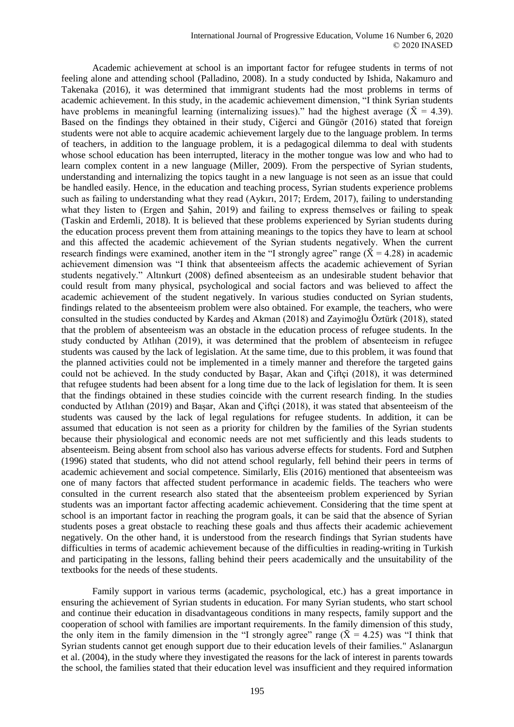Academic achievement at school is an important factor for refugee students in terms of not feeling alone and attending school (Palladino, 2008). In a study conducted by Ishida, Nakamuro and Takenaka (2016), it was determined that immigrant students had the most problems in terms of academic achievement. In this study, in the academic achievement dimension, "I think Syrian students have problems in meaningful learning (internalizing issues)." had the highest average ( $\bar{X} = 4.39$ ). Based on the findings they obtained in their study, Ciğerci and Güngör (2016) stated that foreign students were not able to acquire academic achievement largely due to the language problem. In terms of teachers, in addition to the language problem, it is a pedagogical dilemma to deal with students whose school education has been interrupted, literacy in the mother tongue was low and who had to learn complex content in a new language (Miller, 2009). From the perspective of Syrian students, understanding and internalizing the topics taught in a new language is not seen as an issue that could be handled easily. Hence, in the education and teaching process, Syrian students experience problems such as failing to understanding what they read (Aykırı, 2017; Erdem, 2017), failing to understanding what they listen to (Ergen and Şahin, 2019) and failing to express themselves or failing to speak (Taskin and Erdemli, 2018). It is believed that these problems experienced by Syrian students during the education process prevent them from attaining meanings to the topics they have to learn at school and this affected the academic achievement of the Syrian students negatively. When the current research findings were examined, another item in the "I strongly agree" range ( $\overline{X}$  = 4.28) in academic achievement dimension was "I think that absenteeism affects the academic achievement of Syrian students negatively." Altınkurt (2008) defined absenteeism as an undesirable student behavior that could result from many physical, psychological and social factors and was believed to affect the academic achievement of the student negatively. In various studies conducted on Syrian students, findings related to the absenteeism problem were also obtained. For example, the teachers, who were consulted in the studies conducted by Kardeş and Akman (2018) and Zayimoğlu Öztürk (2018), stated that the problem of absenteeism was an obstacle in the education process of refugee students. In the study conducted by Atlıhan (2019), it was determined that the problem of absenteeism in refugee students was caused by the lack of legislation. At the same time, due to this problem, it was found that the planned activities could not be implemented in a timely manner and therefore the targeted gains could not be achieved. In the study conducted by Basar, Akan and Ciftci (2018), it was determined that refugee students had been absent for a long time due to the lack of legislation for them. It is seen that the findings obtained in these studies coincide with the current research finding. In the studies conducted by Atlıhan (2019) and Başar, Akan and Çiftçi (2018), it was stated that absenteeism of the students was caused by the lack of legal regulations for refugee students. In addition, it can be assumed that education is not seen as a priority for children by the families of the Syrian students because their physiological and economic needs are not met sufficiently and this leads students to absenteeism. Being absent from school also has various adverse effects for students. Ford and Sutphen (1996) stated that students, who did not attend school regularly, fell behind their peers in terms of academic achievement and social competence. Similarly, Elis (2016) mentioned that absenteeism was one of many factors that affected student performance in academic fields. The teachers who were consulted in the current research also stated that the absenteeism problem experienced by Syrian students was an important factor affecting academic achievement. Considering that the time spent at school is an important factor in reaching the program goals, it can be said that the absence of Syrian students poses a great obstacle to reaching these goals and thus affects their academic achievement negatively. On the other hand, it is understood from the research findings that Syrian students have difficulties in terms of academic achievement because of the difficulties in reading-writing in Turkish and participating in the lessons, falling behind their peers academically and the unsuitability of the textbooks for the needs of these students.

Family support in various terms (academic, psychological, etc.) has a great importance in ensuring the achievement of Syrian students in education. For many Syrian students, who start school and continue their education in disadvantageous conditions in many respects, family support and the cooperation of school with families are important requirements. In the family dimension of this study, the only item in the family dimension in the "I strongly agree" range ( $\bar{X} = 4.25$ ) was "I think that Syrian students cannot get enough support due to their education levels of their families." Aslanargun et al. (2004), in the study where they investigated the reasons for the lack of interest in parents towards the school, the families stated that their education level was insufficient and they required information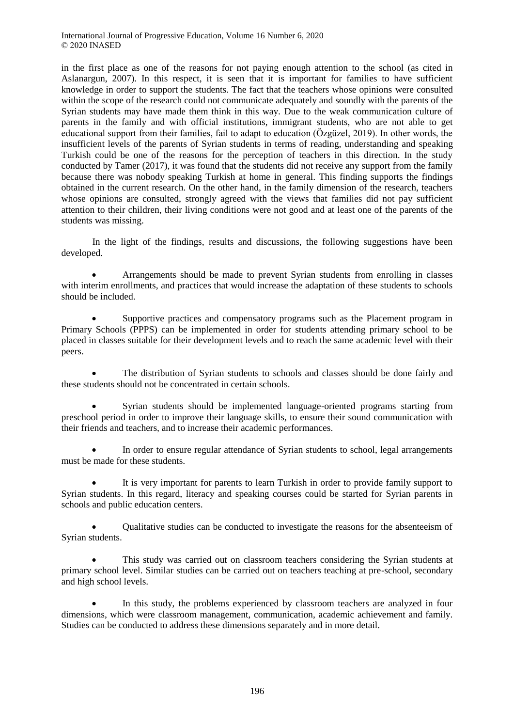in the first place as one of the reasons for not paying enough attention to the school (as cited in Aslanargun, 2007). In this respect, it is seen that it is important for families to have sufficient knowledge in order to support the students. The fact that the teachers whose opinions were consulted within the scope of the research could not communicate adequately and soundly with the parents of the Syrian students may have made them think in this way. Due to the weak communication culture of parents in the family and with official institutions, immigrant students, who are not able to get educational support from their families, fail to adapt to education (Özgüzel, 2019). In other words, the insufficient levels of the parents of Syrian students in terms of reading, understanding and speaking Turkish could be one of the reasons for the perception of teachers in this direction. In the study conducted by Tamer (2017), it was found that the students did not receive any support from the family because there was nobody speaking Turkish at home in general. This finding supports the findings obtained in the current research. On the other hand, in the family dimension of the research, teachers whose opinions are consulted, strongly agreed with the views that families did not pay sufficient attention to their children, their living conditions were not good and at least one of the parents of the students was missing.

In the light of the findings, results and discussions, the following suggestions have been developed.

 Arrangements should be made to prevent Syrian students from enrolling in classes with interim enrollments, and practices that would increase the adaptation of these students to schools should be included.

 Supportive practices and compensatory programs such as the Placement program in Primary Schools (PPPS) can be implemented in order for students attending primary school to be placed in classes suitable for their development levels and to reach the same academic level with their peers.

 The distribution of Syrian students to schools and classes should be done fairly and these students should not be concentrated in certain schools.

 Syrian students should be implemented language-oriented programs starting from preschool period in order to improve their language skills, to ensure their sound communication with their friends and teachers, and to increase their academic performances.

• In order to ensure regular attendance of Syrian students to school, legal arrangements must be made for these students.

 It is very important for parents to learn Turkish in order to provide family support to Syrian students. In this regard, literacy and speaking courses could be started for Syrian parents in schools and public education centers.

 Qualitative studies can be conducted to investigate the reasons for the absenteeism of Syrian students.

 This study was carried out on classroom teachers considering the Syrian students at primary school level. Similar studies can be carried out on teachers teaching at pre-school, secondary and high school levels.

 In this study, the problems experienced by classroom teachers are analyzed in four dimensions, which were classroom management, communication, academic achievement and family. Studies can be conducted to address these dimensions separately and in more detail.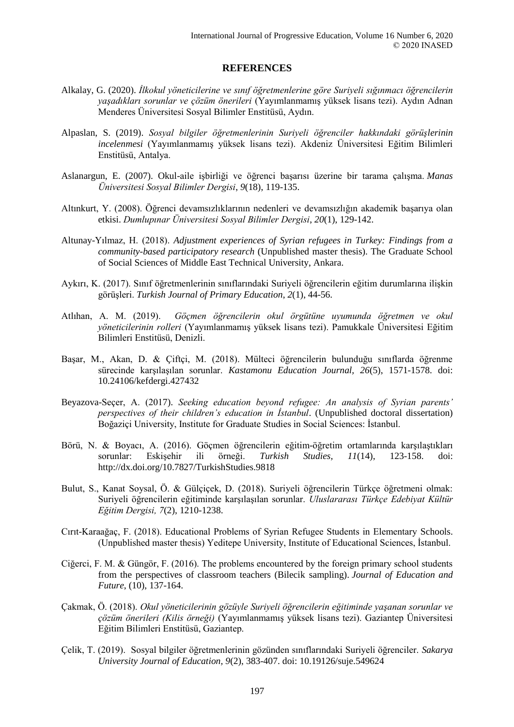### **REFERENCES**

- Alkalay, G. (2020). *İlkokul yöneticilerine ve sınıf öğretmenlerine göre Suriyeli sığınmacı öğrencilerin yaşadıkları sorunlar ve çözüm önerileri* (Yayımlanmamış yüksek lisans tezi). Aydın Adnan Menderes Üniversitesi Sosyal Bilimler Enstitüsü, Aydın.
- Alpaslan, S. (2019). *Sosyal bilgiler öğretmenlerinin Suriyeli öğrenciler hakkındaki görüşlerinin incelenmesi* (Yayımlanmamış yüksek lisans tezi). Akdeniz Üniversitesi Eğitim Bilimleri Enstitüsü, Antalya.
- Aslanargun, E. (2007). Okul-aile işbirliği ve öğrenci başarısı üzerine bir tarama çalışma. *Manas Üniversitesi Sosyal Bilimler Dergisi*, *9*(18), 119-135.
- Altınkurt, Y. (2008). Öğrenci devamsızlıklarının nedenleri ve devamsızlığın akademik başarıya olan etkisi. *Dumlupınar Üniversitesi Sosyal Bilimler Dergisi*, *20*(1), 129-142.
- Altunay-Yılmaz, H. (2018). *Adjustment experiences of Syrian refugees in Turkey: Findings from a community-based participatory research* (Unpublished master thesis). The Graduate School of Social Sciences of Middle East Technical University, Ankara.
- Aykırı, K. (2017). Sınıf öğretmenlerinin sınıflarındaki Suriyeli öğrencilerin eğitim durumlarına ilişkin görüşleri. *Turkish Journal of Primary Education*, *2*(1), 44-56.
- Atlıhan, A. M. (2019). *Göçmen öğrencilerin okul örgütüne uyumunda öğretmen ve okul yöneticilerinin rolleri* (Yayımlanmamış yüksek lisans tezi). Pamukkale Üniversitesi Eğitim Bilimleri Enstitüsü, Denizli.
- Başar, M., Akan, D. & Çiftçi, M. (2018). Mülteci öğrencilerin bulunduğu sınıflarda öğrenme sürecinde karşılaşılan sorunlar. *Kastamonu Education Journal, 26*(5), 1571-1578. doi: 10.24106/kefdergi.427432
- Beyazova-Seçer, A. (2017). *Seeking education beyond refugee: An analysis of Syrian parents' perspectives of their children's education in İstanbul*. (Unpublished doctoral dissertation) Boğaziçi University, Institute for Graduate Studies in Social Sciences: İstanbul.
- Börü, N. & Boyacı, A. (2016). Göçmen öğrencilerin eğitim-öğretim ortamlarında karşılaştıkları sorunlar: Eskişehir ili örneği. *Turkish Studies, 11*(14), 123-158. doi: http://dx.doi.org/10.7827/TurkishStudies.9818
- Bulut, S., Kanat Soysal, Ö. & Gülçiçek, D. (2018). Suriyeli öğrencilerin Türkçe öğretmeni olmak: Suriyeli öğrencilerin eğitiminde karşılaşılan sorunlar. *Uluslararası Türkçe Edebiyat Kültür Eğitim Dergisi, 7*(2), 1210-1238.
- Cırıt-Karaağaç, F. (2018). Educational Problems of Syrian Refugee Students in Elementary Schools. (Unpublished master thesis) Yeditepe University, Institute of Educational Sciences, İstanbul.
- Ciğerci, F. M. & Güngör, F. (2016). The problems encountered by the foreign primary school students from the perspectives of classroom teachers (Bilecik sampling). *Journal of Education and Future*, (10), 137-164.
- Çakmak, Ö. (2018). *Okul yöneticilerinin gözüyle Suriyeli öğrencilerin eğitiminde yaşanan sorunlar ve çözüm önerileri (Kilis örneği)* (Yayımlanmamış yüksek lisans tezi). Gaziantep Üniversitesi Eğitim Bilimleri Enstitüsü, Gaziantep.
- Çelik, T. (2019). Sosyal bilgiler öğretmenlerinin gözünden sınıflarındaki Suriyeli öğrenciler. *Sakarya University Journal of Education, 9*(2), 383-407. doi: 10.19126/suje.549624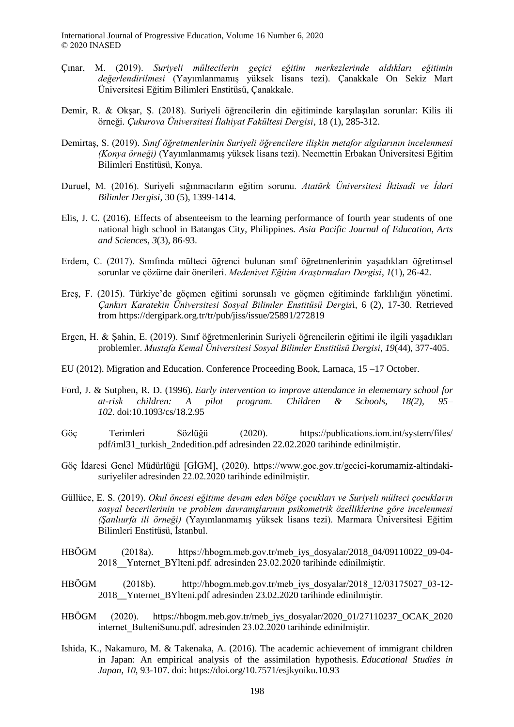- Çınar, M. (2019). *Suriyeli mültecilerin geçici eğitim merkezlerinde aldıkları eğitimin değerlendirilmesi* (Yayımlanmamış yüksek lisans tezi). Çanakkale On Sekiz Mart Üniversitesi Eğitim Bilimleri Enstitüsü, Çanakkale.
- Demir, R. & Okşar, Ş. (2018). Suriyeli öğrencilerin din eğitiminde karşılaşılan sorunlar: Kilis ili örneği. *Çukurova Üniversitesi İlahiyat Fakültesi Dergisi*, 18 (1), 285-312.
- Demirtaş, S. (2019). *Sınıf öğretmenlerinin Suriyeli öğrencilere ilişkin metafor algılarının incelenmesi (Konya örneği)* (Yayımlanmamış yüksek lisans tezi). Necmettin Erbakan Üniversitesi Eğitim Bilimleri Enstitüsü, Konya.
- Duruel, M. (2016). Suriyeli sığınmacıların eğitim sorunu. *Atatürk Üniversitesi İktisadi ve İdari Bilimler Dergisi*, 30 (5), 1399-1414.
- Elis, J. C. (2016). Effects of absenteeism to the learning performance of fourth year students of one national high school in Batangas City, Philippines. *Asia Pacific Journal of Education, Arts and Sciences, 3*(3), 86-93.
- Erdem, C. (2017). Sınıfında mülteci öğrenci bulunan sınıf öğretmenlerinin yaşadıkları öğretimsel sorunlar ve çözüme dair önerileri. *Medeniyet Eğitim Araştırmaları Dergisi*, *1*(1), 26-42.
- Ereş, F. (2015). Türkiye'de göçmen eğitimi sorunsalı ve göçmen eğitiminde farklılığın yönetimi. *Çankırı Karatekin Üniversitesi Sosyal Bilimler Enstitüsü Dergis*i, 6 (2), 17-30. Retrieved from https://dergipark.org.tr/tr/pub/jiss/issue/25891/272819
- Ergen, H. & Şahin, E. (2019). Sınıf öğretmenlerinin Suriyeli öğrencilerin eğitimi ile ilgili yaşadıkları problemler. *Mustafa Kemal Üniversitesi Sosyal Bilimler Enstitüsü Dergisi*, *19*(44), 377-405.
- EU (2012). Migration and Education. Conference Proceeding Book, Larnaca, 15 –17 October.
- Ford, J. & Sutphen, R. D. (1996). *Early intervention to improve attendance in elementary school for at-risk children: A pilot program. Children & Schools, 18(2), 95– 102.* doi:10.1093/cs/18.2.95
- Göç Terimleri Sözlüğü (2020). https://publications.iom.int/system/files/ pdf/iml31\_turkish\_2ndedition.pdf adresinden 22.02.2020 tarihinde edinilmiştir.
- Göç İdaresi Genel Müdürlüğü [GİGM], (2020). https://www.goc.gov.tr/gecici-korumamiz-altindakisuriyeliler adresinden 22.02.2020 tarihinde edinilmiştir.
- Güllüce, E. S. (2019). *Okul öncesi eğitime devam eden bölge çocukları ve Suriyeli mülteci çocukların sosyal becerilerinin ve problem davranışlarının psikometrik özelliklerine göre incelenmesi (Şanlıurfa ili örneği)* (Yayımlanmamış yüksek lisans tezi). Marmara Üniversitesi Eğitim Bilimleri Enstitüsü, İstanbul.
- HBÖGM (2018a). https://hbogm.meb.gov.tr/meb\_iys\_dosyalar/2018\_04/09110022\_09-04- 2018\_\_Ynternet\_BYlteni.pdf. adresinden 23.02.2020 tarihinde edinilmiştir.
- HBÖGM (2018b). http://hbogm.meb.gov.tr/meb\_iys\_dosyalar/2018\_12/03175027\_03-12- 2018\_\_Ynternet\_BYlteni.pdf adresinden 23.02.2020 tarihinde edinilmiştir.
- HBÖGM (2020). https://hbogm.meb.gov.tr/meb\_iys\_dosyalar/2020\_01/27110237\_OCAK\_2020 internet BulteniSunu.pdf. adresinden 23.02.2020 tarihinde edinilmiştir.
- Ishida, K., Nakamuro, M. & Takenaka, A. (2016). The academic achievement of immigrant children in Japan: An empirical analysis of the assimilation hypothesis. *Educational Studies in Japan*, *10*, 93-107. doi: https://doi.org/10.7571/esjkyoiku.10.93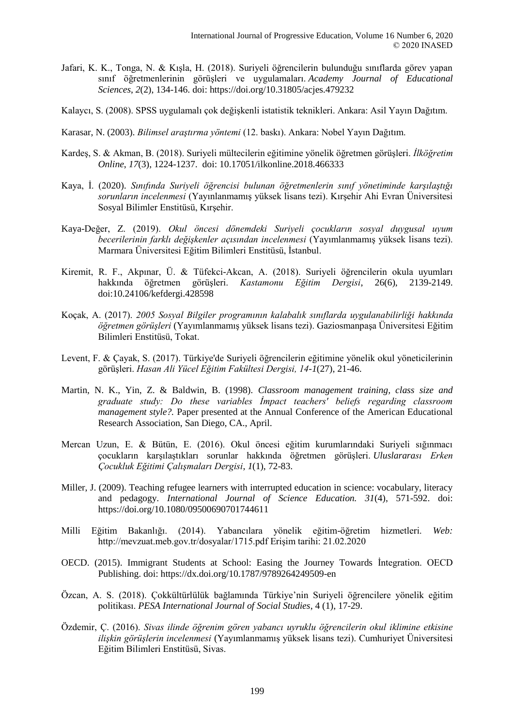- Jafari, K. K., Tonga, N. & Kışla, H. (2018). Suriyeli öğrencilerin bulunduğu sınıflarda görev yapan sınıf öğretmenlerinin görüşleri ve uygulamaları. *Academy Journal of Educational Sciences*, *2*(2), 134-146. doi: https://doi.org/10.31805/acjes.479232
- Kalaycı, S. (2008). SPSS uygulamalı çok değişkenli istatistik teknikleri. Ankara: Asil Yayın Dağıtım.
- Karasar, N. (2003). *Bilimsel araştırma yöntemi* (12. baskı). Ankara: Nobel Yayın Dağıtım.
- Kardeş, S. & Akman, B. (2018). Suriyeli mültecilerin eğitimine yönelik öğretmen görüşleri. *İlköğretim Online*, *17*(3), 1224-1237. doi: 10.17051/ilkonline.2018.466333
- Kaya, İ. (2020). *Sınıfında Suriyeli öğrencisi bulunan öğretmenlerin sınıf yönetiminde karşılaştığı sorunların incelenmesi* (Yayınlanmamış yüksek lisans tezi). Kırşehir Ahi Evran Üniversitesi Sosyal Bilimler Enstitüsü, Kırşehir.
- Kaya-Değer, Z. (2019). *Okul öncesi dönemdeki Suriyeli çocukların sosyal duygusal uyum becerilerinin farklı değişkenler açısından incelenmesi* (Yayımlanmamış yüksek lisans tezi). Marmara Üniversitesi Eğitim Bilimleri Enstitüsü, İstanbul.
- Kiremit, R. F., Akpınar, Ü. & Tüfekci-Akcan, A. (2018). Suriyeli öğrencilerin okula uyumları hakkında öğretmen görüşleri. *Kastamonu Eğitim Dergisi*, 26(6), 2139-2149. doi:10.24106/kefdergi.428598
- Koçak, A. (2017). *2005 Sosyal Bilgiler programının kalabalık sınıflarda uygulanabilirliği hakkında öğretmen görüşleri* (Yayımlanmamış yüksek lisans tezi). Gaziosmanpaşa Üniversitesi Eğitim Bilimleri Enstitüsü, Tokat.
- Levent, F. & Çayak, S. (2017). Türkiye'de Suriyeli öğrencilerin eğitimine yönelik okul yöneticilerinin görüşleri. *Hasan Ali Yücel Eğitim Fakültesi Dergisi, 14-1*(27), 21-46.
- Martin, N. K., Yin, Z. & Baldwin, B. (1998). *Classroom management training, class size and graduate study: Do these variables İmpact teachers' beliefs regarding classroom management style?.* Paper presented at the Annual Conference of the American Educational Research Association, San Diego, CA., April.
- Mercan Uzun, E. & Bütün, E. (2016). Okul öncesi eğitim kurumlarındaki Suriyeli sığınmacı çocukların karşılaştıkları sorunlar hakkında öğretmen görüşleri. *Uluslararası Erken Çocukluk Eğitimi Çalışmaları Dergisi*, *1*(1), 72-83.
- Miller, J. (2009). Teaching refugee learners with interrupted education in science: vocabulary, literacy and pedagogy. *International Journal of Science Education. 31*(4), 571-592. doi: https://doi.org/10.1080/09500690701744611
- Milli Eğitim Bakanlığı. (2014). Yabancılara yönelik eğitim-öğretim hizmetleri. *Web:*  http://mevzuat.meb.gov.tr/dosyalar/1715.pdf Erişim tarihi: 21.02.2020
- OECD. (2015). Immigrant Students at School: Easing the Journey Towards İntegration. OECD Publishing. doi:<https://dx.doi.org/10.1787/9789264249509-en>
- Özcan, A. S. (2018). Çokkültürlülük bağlamında Türkiye'nin Suriyeli öğrencilere yönelik eğitim politikası. *PESA International Journal of Social Studies*, 4 (1), 17-29.
- Özdemir, Ç. (2016). *Sivas ilinde öğrenim gören yabancı uyruklu öğrencilerin okul iklimine etkisine ilişkin görüşlerin incelenmesi* (Yayımlanmamış yüksek lisans tezi). Cumhuriyet Üniversitesi Eğitim Bilimleri Enstitüsü, Sivas.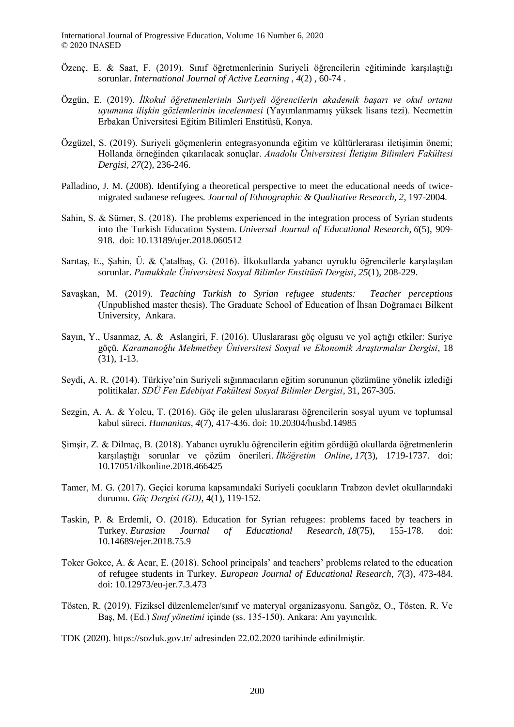- Özenç, E. & Saat, F. (2019). Sınıf öğretmenlerinin Suriyeli öğrencilerin eğitiminde karşılaştığı sorunlar. *International Journal of Active Learning , 4*(2) , 60-74 .
- Özgün, E. (2019). *İlkokul öğretmenlerinin Suriyeli öğrencilerin akademik başarı ve okul ortamı uyumuna ilişkin gözlemlerinin incelenmesi* (Yayımlanmamış yüksek lisans tezi). Necmettin Erbakan Üniversitesi Eğitim Bilimleri Enstitüsü, Konya.
- Özgüzel, S. (2019). Suriyeli göçmenlerin entegrasyonunda eğitim ve kültürlerarası iletişimin önemi; Hollanda örneğinden çıkarılacak sonuçlar. *Anadolu Üniversitesi İletişim Bilimleri Fakültesi Dergisi, 27*(2), 236-246.
- Palladino, J. M. (2008). Identifying a theoretical perspective to meet the educational needs of twicemigrated sudanese refugees. *Journal of Ethnographic & Qualitative Research, 2*, 197-2004.
- Sahin, S. & Sümer, S. (2018). The problems experienced in the integration process of Syrian students into the Turkish Education System. *Universal Journal of Educational Research*, *6*(5), 909- 918. doi: 10.13189/ujer.2018.060512
- Sarıtaş, E., Şahin, Ü. & Çatalbaş, G. (2016). İlkokullarda yabancı uyruklu öğrencilerle karşılaşılan sorunlar. *Pamukkale Üniversitesi Sosyal Bilimler Enstitüsü Dergisi*, *25*(1), 208-229.
- Savaşkan, M. (2019). *Teaching Turkish to Syrian refugee students: Teacher perceptions* (Unpublished master thesis). The Graduate School of Education of İhsan Doğramacı Bilkent University, Ankara.
- Sayın, Y., Usanmaz, A. & Aslangiri, F. (2016). Uluslararası göç olgusu ve yol açtığı etkiler: Suriye göçü. *Karamanoğlu Mehmetbey Üniversitesi Sosyal ve Ekonomik Araştırmalar Dergisi*, 18 (31), 1-13.
- Seydi, A. R. (2014). Türkiye'nin Suriyeli sığınmacıların eğitim sorununun çözümüne yönelik izlediği politikalar. *SDÜ Fen Edebiyat Fakültesi Sosyal Bilimler Dergisi*, 31, 267-305.
- Sezgin, A. A. & Yolcu, T. (2016). Göç ile gelen uluslararası öğrencilerin sosyal uyum ve toplumsal kabul süreci. *Humanitas, 4*(7), 417-436. doi: 10.20304/husbd.14985
- Şimşir, Z. & Dilmaç, B. (2018). Yabancı uyruklu öğrencilerin eğitim gördüğü okullarda öğretmenlerin karşılaştığı sorunlar ve çözüm önerileri. *İlköğretim Online*, *17*(3), 1719-1737. doi: 10.17051/ilkonline.2018.466425
- Tamer, M. G. (2017). Geçici koruma kapsamındaki Suriyeli çocukların Trabzon devlet okullarındaki durumu. *Göç Dergisi (GD)*, 4(1), 119-152.
- Taskin, P. & Erdemli, O. (2018). Education for Syrian refugees: problems faced by teachers in Turkey. *Eurasian Journal of Educational Research*, *18*(75), 155-178. doi: 10.14689/ejer.2018.75.9
- Toker Gokce, A. & Acar, E. (2018). School principals' and teachers' problems related to the education of refugee students in Turkey. *European Journal of Educational Research*, *7*(3), 473-484. doi: 10.12973/eu-jer.7.3.473
- Tösten, R. (2019). Fiziksel düzenlemeler/sınıf ve materyal organizasyonu. Sarıgöz, O., Tösten, R. Ve Baş, M. (Ed.) *Sınıf yönetimi* içinde (ss. 135-150). Ankara: Anı yayıncılık.

TDK (2020). https://sozluk.gov.tr/ adresinden 22.02.2020 tarihinde edinilmiştir.